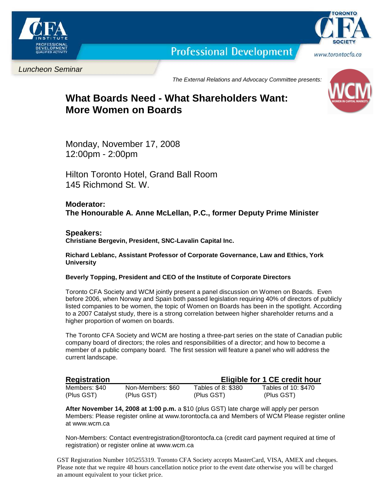

**Professional Development** 



Luncheon Seminar

The External Relations and Advocacy Committee presents:

# **What Boards Need - What Shareholders Want: More Women on Boards**

Monday, November 17, 2008 12:00pm - 2:00pm

Hilton Toronto Hotel, Grand Ball Room 145 Richmond St. W.

## **Moderator: The Honourable A. Anne McLellan, P.C., former Deputy Prime Minister**

## **Speakers:**

**Christiane Bergevin, President, SNC-Lavalin Capital Inc.** 

**Richard Leblanc, Assistant Professor of Corporate Governance, Law and Ethics, York University** 

#### **Beverly Topping, President and CEO of the Institute of Corporate Directors**

Toronto CFA Society and WCM jointly present a panel discussion on Women on Boards. Even before 2006, when Norway and Spain both passed legislation requiring 40% of directors of publicly listed companies to be women, the topic of Women on Boards has been in the spotlight. According to a 2007 Catalyst study, there is a strong correlation between higher shareholder returns and a higher proportion of women on boards.

The Toronto CFA Society and WCM are hosting a three-part series on the state of Canadian public company board of directors; the roles and responsibilities of a director; and how to become a member of a public company board. The first session will feature a panel who will address the current landscape.

| <b>Registration</b> |                   | Eligible for 1 CE credit hour |                     |
|---------------------|-------------------|-------------------------------|---------------------|
| Members: \$40       | Non-Members: \$60 | Tables of 8: \$380            | Tables of 10: \$470 |
| (Plus GST)          | (Plus GST)        | (Plus GST)                    | (Plus GST)          |

**After November 14, 2008 at 1:00 p.m.** a \$10 (plus GST) late charge will apply per person Members: Please register online at www.torontocfa.ca and Members of WCM Please register online at www.wcm.ca

Non-Members: Contact eventregistration@torontocfa.ca (credit card payment required at time of registration) or register online at www.wcm.ca

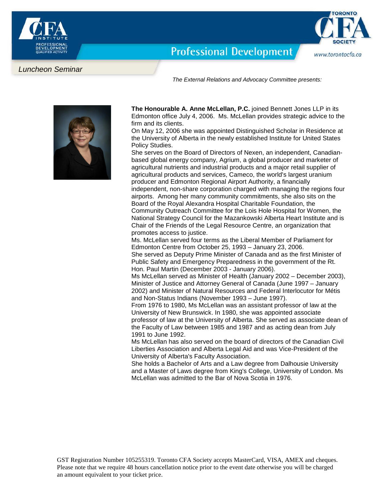

www.torontocfa.ca

**Professional Development** 

#### Luncheon Seminar

The External Relations and Advocacy Committee presents:



 **The Honourable A. Anne McLellan, P.C.** joined Bennett Jones LLP in its Edmonton office July 4, 2006. Ms. McLellan provides strategic advice to the firm and its clients.

On May 12, 2006 she was appointed Distinguished Scholar in Residence at the University of Alberta in the newly established Institute for United States Policy Studies.

She serves on the Board of Directors of Nexen, an independent, Canadianbased global energy company, Agrium, a global producer and marketer of agricultural nutrients and industrial products and a major retail supplier of agricultural products and services, Cameco, the world's largest uranium producer and Edmonton Regional Airport Authority, a financially independent, non-share corporation charged with managing the regions four airports. Among her many community commitments, she also sits on the Board of the Royal Alexandra Hospital Charitable Foundation, the Community Outreach Committee for the Lois Hole Hospital for Women, the National Strategy Council for the Mazankowski Alberta Heart Institute and is Chair of the Friends of the Legal Resource Centre, an organization that promotes access to justice.

Ms. McLellan served four terms as the Liberal Member of Parliament for Edmonton Centre from October 25, 1993 – January 23, 2006. She served as Deputy Prime Minister of Canada and as the first Minister of Public Safety and Emergency Preparedness in the government of the Rt.

Hon. Paul Martin (December 2003 - January 2006).

Ms McLellan served as Minister of Health (January 2002 – December 2003), Minister of Justice and Attorney General of Canada (June 1997 – January 2002) and Minister of Natural Resources and Federal Interlocutor for Métis and Non-Status Indians (November 1993 – June 1997).

From 1976 to 1980, Ms McLellan was an assistant professor of law at the University of New Brunswick. In 1980, she was appointed associate professor of law at the University of Alberta. She served as associate dean of the Faculty of Law between 1985 and 1987 and as acting dean from July 1991 to June 1992.

Ms McLellan has also served on the board of directors of the Canadian Civil Liberties Association and Alberta Legal Aid and was Vice-President of the University of Alberta's Faculty Association.

She holds a Bachelor of Arts and a Law degree from Dalhousie University and a Master of Laws degree from King's College, University of London. Ms McLellan was admitted to the Bar of Nova Scotia in 1976.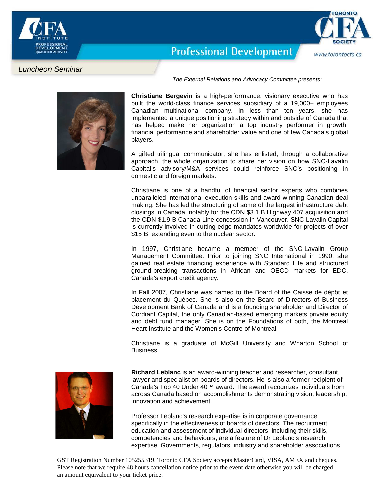

www.torontocfa.ca

**Professional Development** 

## Luncheon Seminar

The External Relations and Advocacy Committee presents:



**Christiane Bergevin** is a high-performance, visionary executive who has built the world-class finance services subsidiary of a 19,000+ employees Canadian multinational company. In less than ten years, she has implemented a unique positioning strategy within and outside of Canada that has helped make her organization a top industry performer in growth, financial performance and shareholder value and one of few Canada's global players.

A gifted trilingual communicator, she has enlisted, through a collaborative approach, the whole organization to share her vision on how SNC-Lavalin Capital's advisory/M&A services could reinforce SNC's positioning in domestic and foreign markets.

Christiane is one of a handful of financial sector experts who combines unparalleled international execution skills and award-winning Canadian deal making. She has led the structuring of some of the largest infrastructure debt closings in Canada, notably for the CDN \$3.1 B Highway 407 acquisition and the CDN \$1.9 B Canada Line concession in Vancouver. SNC-Lavalin Capital is currently involved in cutting-edge mandates worldwide for projects of over \$15 B, extending even to the nuclear sector.

In 1997, Christiane became a member of the SNC-Lavalin Group Management Committee. Prior to joining SNC International in 1990, she gained real estate financing experience with Standard Life and structured ground-breaking transactions in African and OECD markets for EDC, Canada's export credit agency.

In Fall 2007, Christiane was named to the Board of the Caisse de dépôt et placement du Québec. She is also on the Board of Directors of Business Development Bank of Canada and is a founding shareholder and Director of Cordiant Capital, the only Canadian-based emerging markets private equity and debt fund manager. She is on the Foundations of both, the Montreal Heart Institute and the Women's Centre of Montreal.

Christiane is a graduate of McGill University and Wharton School of Business.



**Richard Leblanc** is an award-winning teacher and researcher, consultant, lawyer and specialist on boards of directors. He is also a former recipient of Canada's Top 40 Under 40™ award. The award recognizes individuals from across Canada based on accomplishments demonstrating vision, leadership, innovation and achievement.

Professor Leblanc's research expertise is in corporate governance, specifically in the effectiveness of boards of directors. The recruitment, education and assessment of individual directors, including their skills, competencies and behaviours, are a feature of Dr Leblanc's research expertise. Governments, regulators, industry and shareholder associations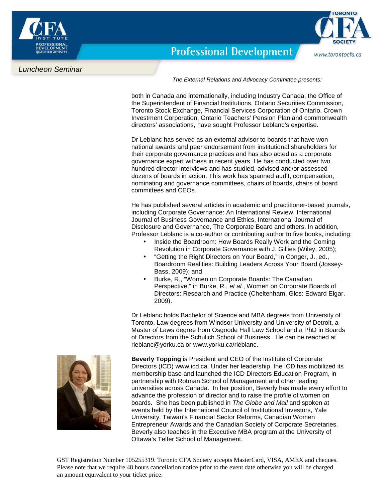



**Professional Development** 

### Luncheon Seminar

The External Relations and Advocacy Committee presents:

both in Canada and internationally, including Industry Canada, the Office of the Superintendent of Financial Institutions, Ontario Securities Commission, Toronto Stock Exchange, Financial Services Corporation of Ontario, Crown Investment Corporation, Ontario Teachers' Pension Plan and commonwealth directors' associations, have sought Professor Leblanc's expertise.

Dr Leblanc has served as an external advisor to boards that have won national awards and peer endorsement from institutional shareholders for their corporate governance practices and has also acted as a corporate governance expert witness in recent years. He has conducted over two hundred director interviews and has studied, advised and/or assessed dozens of boards in action. This work has spanned audit, compensation, nominating and governance committees, chairs of boards, chairs of board committees and CEOs.

He has published several articles in academic and practitioner-based journals, including Corporate Governance: An International Review, International Journal of Business Governance and Ethics, International Journal of Disclosure and Governance, The Corporate Board and others. In addition, Professor Leblanc is a co-author or contributing author to five books, including:

- Inside the Boardroom: How Boards Really Work and the Coming Revolution in Corporate Governance with J. Gillies (Wiley, 2005);
- "Getting the Right Directors on Your Board," in Conger, J., ed., Boardroom Realities: Building Leaders Across Your Board (Jossey-Bass, 2009); and
- Burke, R., "Women on Corporate Boards: The Canadian Perspective," in Burke, R., et al., Women on Corporate Boards of Directors: Research and Practice (Cheltenham, Glos: Edward Elgar, 2009).

Dr Leblanc holds Bachelor of Science and MBA degrees from University of Toronto, Law degrees from Windsor University and University of Detroit, a Master of Laws degree from Osgoode Hall Law School and a PhD in Boards of Directors from the Schulich School of Business. He can be reached at rleblanc@yorku.ca or www.yorku.ca/rleblanc.



**Beverly Topping** is President and CEO of the Institute of Corporate Directors (ICD) www.icd.ca. Under her leadership, the ICD has mobilized its membership base and launched the ICD Directors Education Program, in partnership with Rotman School of Management and other leading universities across Canada. In her position, Beverly has made every effort to advance the profession of director and to raise the profile of women on boards. She has been published in The Globe and Mail and spoken at events held by the International Council of Institutional Investors, Yale University, Taiwan's Financial Sector Reforms, Canadian Women Entrepreneur Awards and the Canadian Society of Corporate Secretaries. Beverly also teaches in the Executive MBA program at the University of Ottawa's Telfer School of Management.